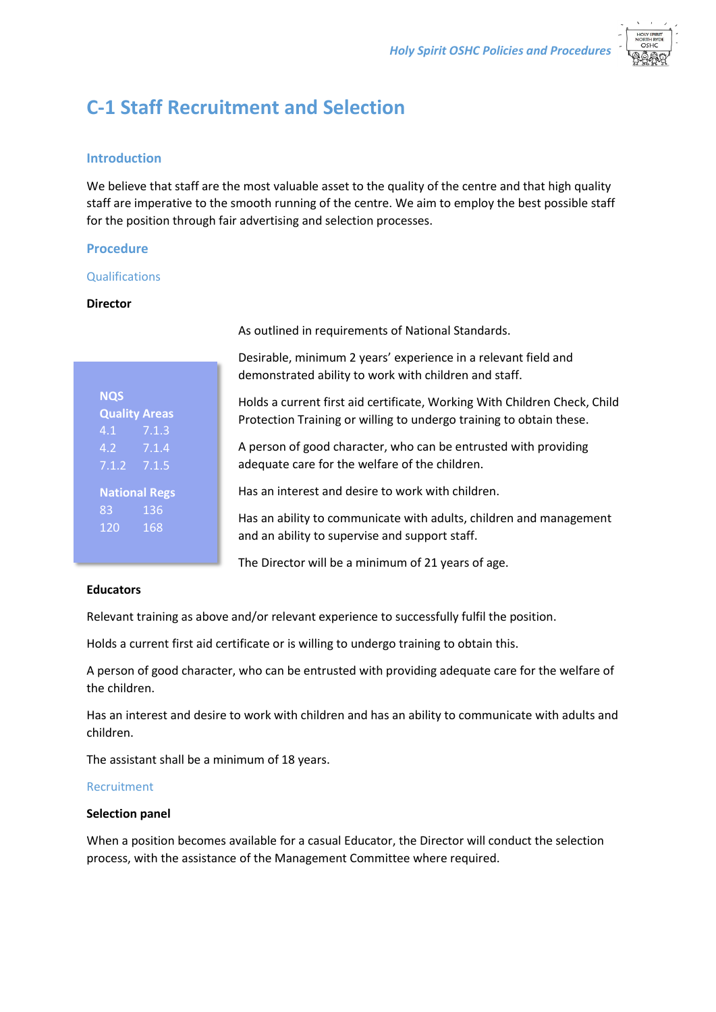

# **C-1 Staff Recruitment and Selection**

# **Introduction**

We believe that staff are the most valuable asset to the quality of the centre and that high quality staff are imperative to the smooth running of the centre. We aim to employ the best possible staff for the position through fair advertising and selection processes.

# **Procedure**

## Qualifications

## **Director**

| <b>NQS</b>                        |       |
|-----------------------------------|-------|
| <b>Quality Areas</b>              |       |
| 4.1                               | 7.1.3 |
| 4.2                               | 7.1.4 |
| $7.1.\overline{2}$                | 7.1.5 |
| <b>National Regs</b><br>136<br>83 |       |
| 120                               | 168   |

As outlined in requirements of National Standards.

Desirable, minimum 2 years' experience in a relevant field and demonstrated ability to work with children and staff.

Holds a current first aid certificate, Working With Children Check, Child Protection Training or willing to undergo training to obtain these.

A person of good character, who can be entrusted with providing adequate care for the welfare of the children.

Has an interest and desire to work with children.

Has an ability to communicate with adults, children and management and an ability to supervise and support staff.

The Director will be a minimum of 21 years of age.

## **Educators**

Relevant training as above and/or relevant experience to successfully fulfil the position.

Holds a current first aid certificate or is willing to undergo training to obtain this.

A person of good character, who can be entrusted with providing adequate care for the welfare of the children.

Has an interest and desire to work with children and has an ability to communicate with adults and children.

The assistant shall be a minimum of 18 years.

# Recruitment

## **Selection panel**

When a position becomes available for a casual Educator, the Director will conduct the selection process, with the assistance of the Management Committee where required.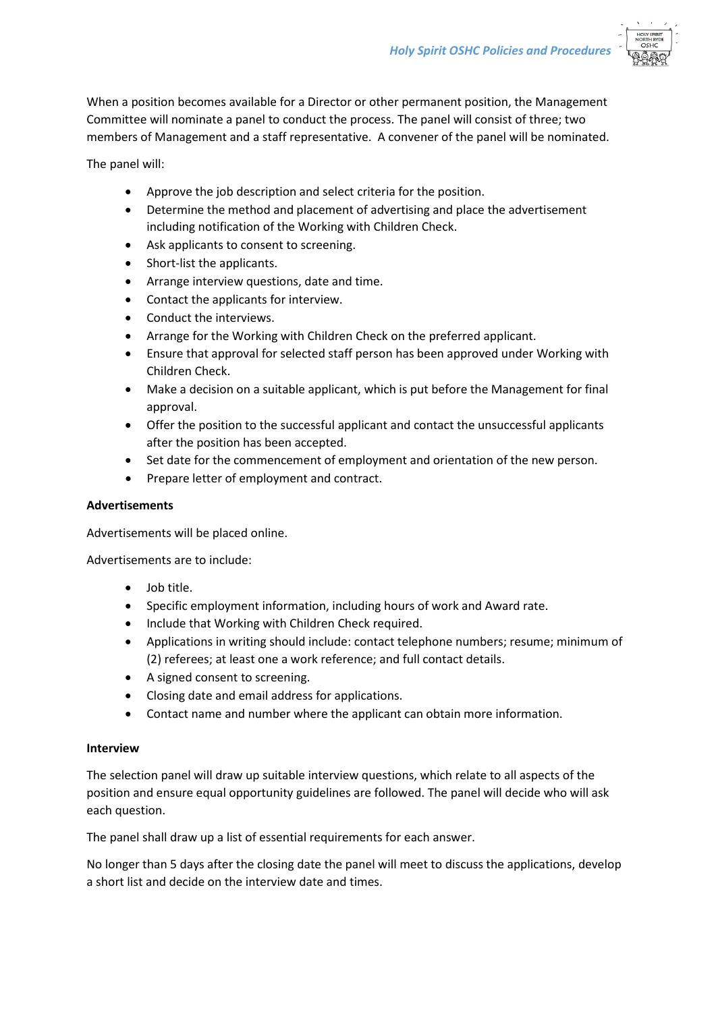

When a position becomes available for a Director or other permanent position, the Management Committee will nominate a panel to conduct the process. The panel will consist of three; two members of Management and a staff representative. A convener of the panel will be nominated.

The panel will:

- Approve the job description and select criteria for the position.
- Determine the method and placement of advertising and place the advertisement including notification of the Working with Children Check.
- Ask applicants to consent to screening.
- Short-list the applicants.
- Arrange interview questions, date and time.
- Contact the applicants for interview.
- Conduct the interviews.
- Arrange for the Working with Children Check on the preferred applicant.
- Ensure that approval for selected staff person has been approved under Working with Children Check.
- Make a decision on a suitable applicant, which is put before the Management for final approval.
- Offer the position to the successful applicant and contact the unsuccessful applicants after the position has been accepted.
- Set date for the commencement of employment and orientation of the new person.
- Prepare letter of employment and contract.

#### **Advertisements**

Advertisements will be placed online.

Advertisements are to include:

- $\bullet$  Iob title.
- Specific employment information, including hours of work and Award rate.
- Include that Working with Children Check required.
- Applications in writing should include: contact telephone numbers; resume; minimum of (2) referees; at least one a work reference; and full contact details.
- A signed consent to screening.
- Closing date and email address for applications.
- Contact name and number where the applicant can obtain more information.

#### **Interview**

The selection panel will draw up suitable interview questions, which relate to all aspects of the position and ensure equal opportunity guidelines are followed. The panel will decide who will ask each question.

The panel shall draw up a list of essential requirements for each answer.

No longer than 5 days after the closing date the panel will meet to discuss the applications, develop a short list and decide on the interview date and times.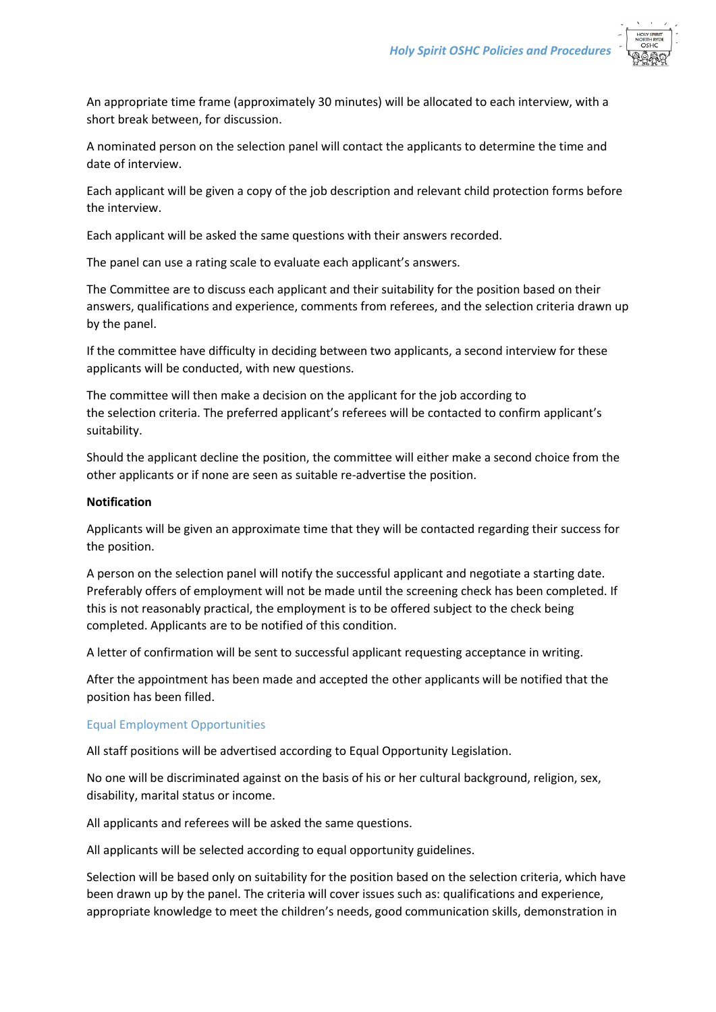

An appropriate time frame (approximately 30 minutes) will be allocated to each interview, with a short break between, for discussion.

A nominated person on the selection panel will contact the applicants to determine the time and date of interview.

Each applicant will be given a copy of the job description and relevant child protection forms before the interview.

Each applicant will be asked the same questions with their answers recorded.

The panel can use a rating scale to evaluate each applicant's answers.

The Committee are to discuss each applicant and their suitability for the position based on their answers, qualifications and experience, comments from referees, and the selection criteria drawn up by the panel.

If the committee have difficulty in deciding between two applicants, a second interview for these applicants will be conducted, with new questions.

The committee will then make a decision on the applicant for the job according to the selection criteria. The preferred applicant's referees will be contacted to confirm applicant's suitability.

Should the applicant decline the position, the committee will either make a second choice from the other applicants or if none are seen as suitable re-advertise the position.

#### **Notification**

Applicants will be given an approximate time that they will be contacted regarding their success for the position.

A person on the selection panel will notify the successful applicant and negotiate a starting date. Preferably offers of employment will not be made until the screening check has been completed. If this is not reasonably practical, the employment is to be offered subject to the check being completed. Applicants are to be notified of this condition.

A letter of confirmation will be sent to successful applicant requesting acceptance in writing.

After the appointment has been made and accepted the other applicants will be notified that the position has been filled.

## Equal Employment Opportunities

All staff positions will be advertised according to Equal Opportunity Legislation.

No one will be discriminated against on the basis of his or her cultural background, religion, sex, disability, marital status or income.

All applicants and referees will be asked the same questions.

All applicants will be selected according to equal opportunity guidelines.

Selection will be based only on suitability for the position based on the selection criteria, which have been drawn up by the panel. The criteria will cover issues such as: qualifications and experience, appropriate knowledge to meet the children's needs, good communication skills, demonstration in